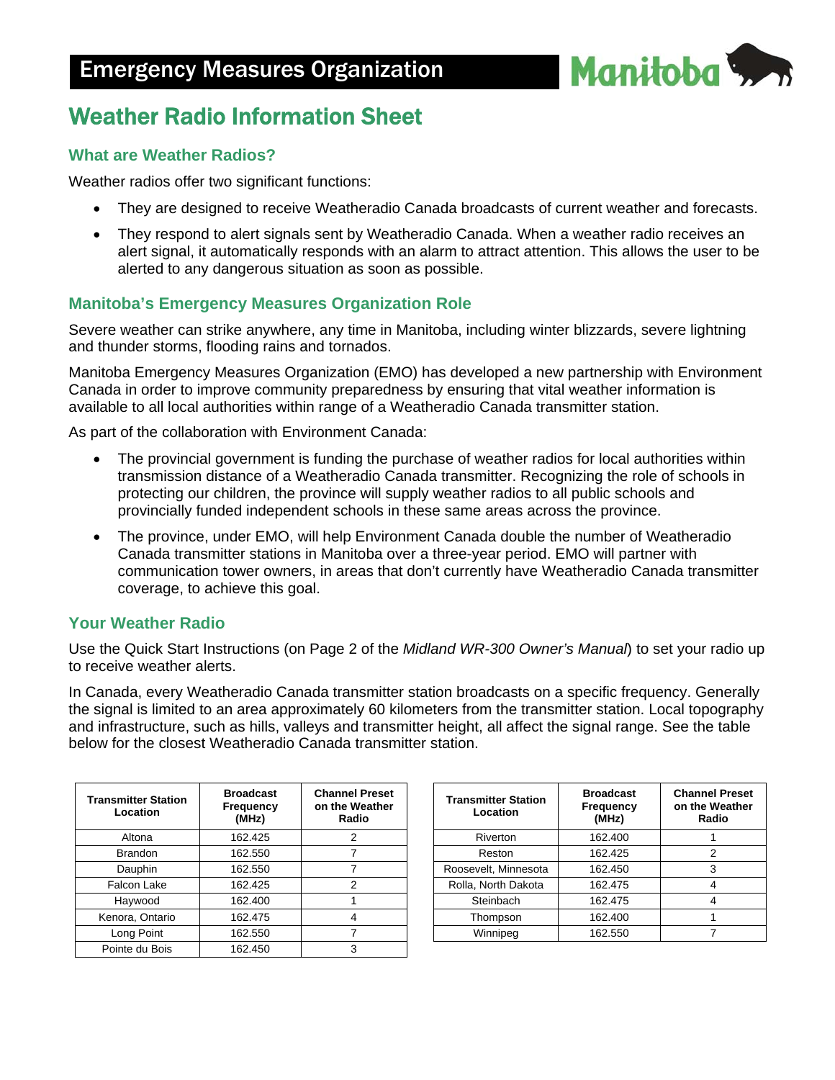

# Weather Radio Information Sheet

## **What are Weather Radios?**

Weather radios offer two significant functions:

- They are designed to receive Weatheradio Canada broadcasts of current weather and forecasts.
- They respond to alert signals sent by Weatheradio Canada. When a weather radio receives an alert signal, it automatically responds with an alarm to attract attention. This allows the user to be alerted to any dangerous situation as soon as possible.

## **Manitoba's Emergency Measures Organization Role**

Severe weather can strike anywhere, any time in Manitoba, including winter blizzards, severe lightning and thunder storms, flooding rains and tornados.

Manitoba Emergency Measures Organization (EMO) has developed a new partnership with Environment Canada in order to improve community preparedness by ensuring that vital weather information is available to all local authorities within range of a Weatheradio Canada transmitter station.

As part of the collaboration with Environment Canada:

- The provincial government is funding the purchase of weather radios for local authorities within transmission distance of a Weatheradio Canada transmitter. Recognizing the role of schools in protecting our children, the province will supply weather radios to all public schools and provincially funded independent schools in these same areas across the province.
- The province, under EMO, will help Environment Canada double the number of Weatheradio Canada transmitter stations in Manitoba over a three-year period. EMO will partner with communication tower owners, in areas that don't currently have Weatheradio Canada transmitter coverage, to achieve this goal.

### **Your Weather Radio**

Use the Quick Start Instructions (on Page 2 of the *Midland WR-300 Owner's Manual*) to set your radio up to receive weather alerts.

In Canada, every Weatheradio Canada transmitter station broadcasts on a specific frequency. Generally the signal is limited to an area approximately 60 kilometers from the transmitter station. Local topography and infrastructure, such as hills, valleys and transmitter height, all affect the signal range. See the table below for the closest Weatheradio Canada transmitter station.

| <b>Transmitter Station</b><br>Location | <b>Broadcast</b><br>Frequency<br>(MHz) | <b>Channel Preset</b><br>on the Weather<br>Radio |
|----------------------------------------|----------------------------------------|--------------------------------------------------|
| Altona                                 | 162.425                                | 2                                                |
| <b>Brandon</b>                         | 162.550                                |                                                  |
| Dauphin                                | 162.550                                |                                                  |
| Falcon Lake                            | 162.425                                | 2                                                |
| Haywood                                | 162.400                                |                                                  |
| Kenora, Ontario                        | 162.475                                |                                                  |
| Long Point                             | 162.550                                |                                                  |
| Pointe du Bois                         | 162.450                                | 3                                                |

| <b>Transmitter Station</b><br>Location | <b>Broadcast</b><br>Frequency<br>(MHz) | <b>Channel Preset</b><br>on the Weather<br>Radio |
|----------------------------------------|----------------------------------------|--------------------------------------------------|
| Riverton                               | 162.400                                |                                                  |
| Reston                                 | 162.425                                | 2                                                |
| Roosevelt, Minnesota                   | 162.450                                | 3                                                |
| Rolla, North Dakota                    | 162.475                                |                                                  |
| Steinbach                              | 162.475                                |                                                  |
| Thompson                               | 162.400                                |                                                  |
| Winnipeg                               | 162.550                                |                                                  |